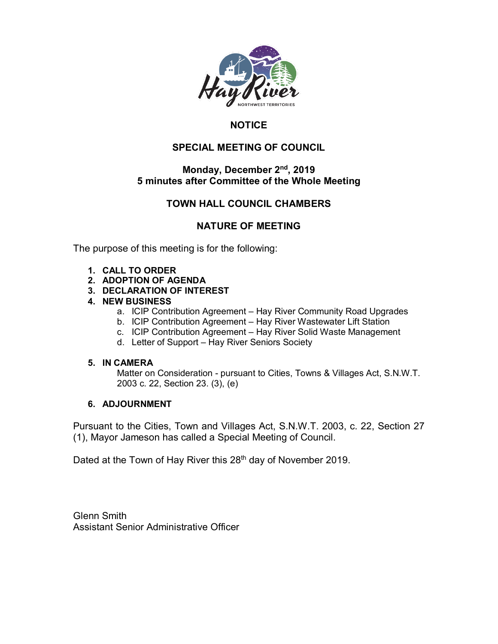

## **NOTICE**

## **SPECIAL MEETING OF COUNCIL**

## **Monday, December 2nd, 2019 5 minutes after Committee of the Whole Meeting**

## **TOWN HALL COUNCIL CHAMBERS**

## **NATURE OF MEETING**

The purpose of this meeting is for the following:

- **1. CALL TO ORDER**
- **2. ADOPTION OF AGENDA**
- **3. DECLARATION OF INTEREST**
- **4. NEW BUSINESS**
	- a. ICIP Contribution Agreement Hay River Community Road Upgrades
	- b. ICIP Contribution Agreement Hay River Wastewater Lift Station
	- c. ICIP Contribution Agreement Hay River Solid Waste Management
	- d. Letter of Support Hay River Seniors Society

## **5. IN CAMERA**

Matter on Consideration - pursuant to Cities, Towns & Villages Act, S.N.W.T. 2003 c. 22, Section 23. (3), (e)

## **6. ADJOURNMENT**

Pursuant to the Cities, Town and Villages Act, S.N.W.T. 2003, c. 22, Section 27 (1), Mayor Jameson has called a Special Meeting of Council.

Dated at the Town of Hay River this 28<sup>th</sup> day of November 2019.

Glenn Smith Assistant Senior Administrative Officer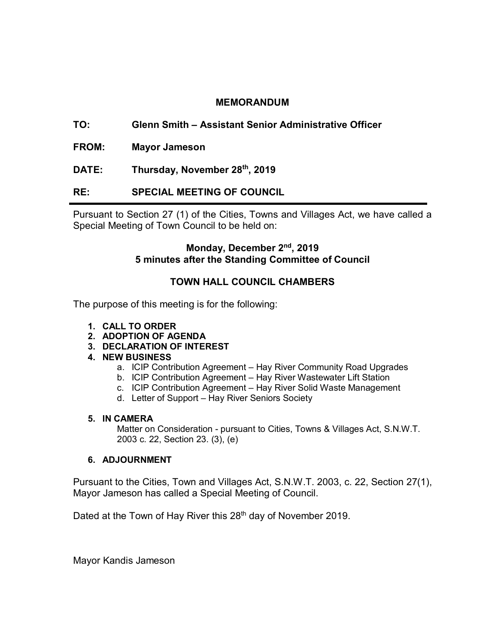## **MEMORANDUM**

- **TO: Glenn Smith – Assistant Senior Administrative Officer**
- **FROM: Mayor Jameson**
- **DATE: Thursday, November 28th, 2019**
- **RE: SPECIAL MEETING OF COUNCIL**

Pursuant to Section 27 (1) of the Cities, Towns and Villages Act, we have called a Special Meeting of Town Council to be held on:

## **Monday, December 2nd, 2019 5 minutes after the Standing Committee of Council**

## **TOWN HALL COUNCIL CHAMBERS**

The purpose of this meeting is for the following:

- **1. CALL TO ORDER**
- **2. ADOPTION OF AGENDA**
- **3. DECLARATION OF INTEREST**
- **4. NEW BUSINESS**
	- a. ICIP Contribution Agreement Hay River Community Road Upgrades
	- b. ICIP Contribution Agreement Hay River Wastewater Lift Station
	- c. ICIP Contribution Agreement Hay River Solid Waste Management
	- d. Letter of Support Hay River Seniors Society

#### **5. IN CAMERA**

Matter on Consideration - pursuant to Cities, Towns & Villages Act, S.N.W.T. 2003 c. 22, Section 23. (3), (e)

#### **6. ADJOURNMENT**

Pursuant to the Cities, Town and Villages Act, S.N.W.T. 2003, c. 22, Section 27(1), Mayor Jameson has called a Special Meeting of Council.

Dated at the Town of Hay River this 28<sup>th</sup> day of November 2019.

Mayor Kandis Jameson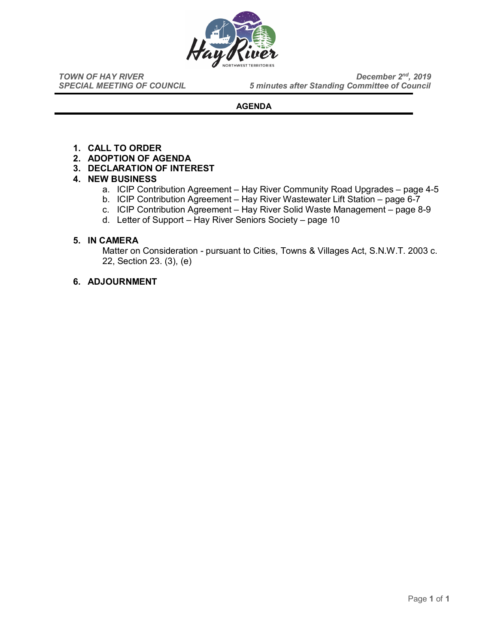

*TOWN OF HAY RIVER*<br>*SPECIAL MEETING OF COUNCIL* 5 minutes after Standing Committee of Council **5 minutes after Standing Committee of Council** 

#### **AGENDA**

- **1. CALL TO ORDER**
- **2. ADOPTION OF AGENDA**
- **3. DECLARATION OF INTEREST**

#### **4. NEW BUSINESS**

- a. ICIP Contribution Agreement Hay River Community Road Upgrades page 4-5
- b. ICIP Contribution Agreement Hay River Wastewater Lift Station page 6-7
- c. ICIP Contribution Agreement Hay River Solid Waste Management page 8-9
- d. Letter of Support Hay River Seniors Society page 10

#### **5. IN CAMERA**

Matter on Consideration - pursuant to Cities, Towns & Villages Act, S.N.W.T. 2003 c. 22, Section 23. (3), (e)

#### **6. ADJOURNMENT**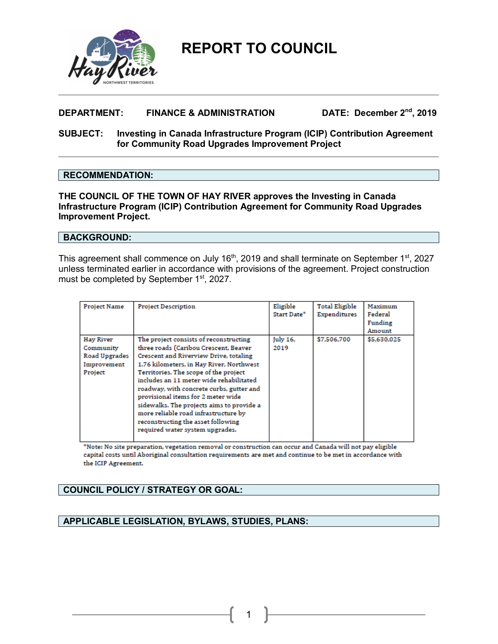

## **DEPARTMENT: FINANCE & ADMINISTRATION DATE: December 2nd, 2019**

#### **SUBJECT: Investing in Canada Infrastructure Program (ICIP) Contribution Agreement for Community Road Upgrades Improvement Project**

#### **RECOMMENDATION:**

**THE COUNCIL OF THE TOWN OF HAY RIVER approves the Investing in Canada Infrastructure Program (ICIP) Contribution Agreement for Community Road Upgrades Improvement Project.** 

#### **BACKGROUND:**

This agreement shall commence on July 16<sup>th</sup>, 2019 and shall terminate on September 1<sup>st</sup>, 2027 unless terminated earlier in accordance with provisions of the agreement. Project construction must be completed by September 1<sup>st</sup>, 2027.

| <b>Project Name</b>                                               | <b>Project Description</b>                                                                                                                                                                                                                                                                                                                                                                                                                                                                                | Eligible<br>Start Date* | <b>Total Eligible</b><br>Expenditures | Maximum<br>Federal<br>Funding<br>Amount |
|-------------------------------------------------------------------|-----------------------------------------------------------------------------------------------------------------------------------------------------------------------------------------------------------------------------------------------------------------------------------------------------------------------------------------------------------------------------------------------------------------------------------------------------------------------------------------------------------|-------------------------|---------------------------------------|-----------------------------------------|
| Hay River<br>Community<br>Road Upgrades<br>Improvement<br>Project | The project consists of reconstructing<br>three roads (Caribou Crescent, Beaver<br>Crescent and Riverview Drive, totaling<br>1.76 kilometers, in Hay River, Northwest<br>Territories. The scope of the project<br>includes an 11 meter wide rehabilitated<br>roadway, with concrete curbs, gutter and<br>provisional items for 2 meter wide<br>sidewalks. The projects aims to provide a<br>more reliable road infrastructure by<br>reconstructing the asset following<br>required water system upgrades. | July 16,<br>2019        | \$7,506,700                           | \$5,630,025                             |

\*Note: No site preparation, vegetation removal or construction can occur and Canada will not pay eligible capital costs until Aboriginal consultation requirements are met and continue to be met in accordance with the ICIP Agreement.

## **COUNCIL POLICY / STRATEGY OR GOAL:**

### **APPLICABLE LEGISLATION, BYLAWS, STUDIES, PLANS:**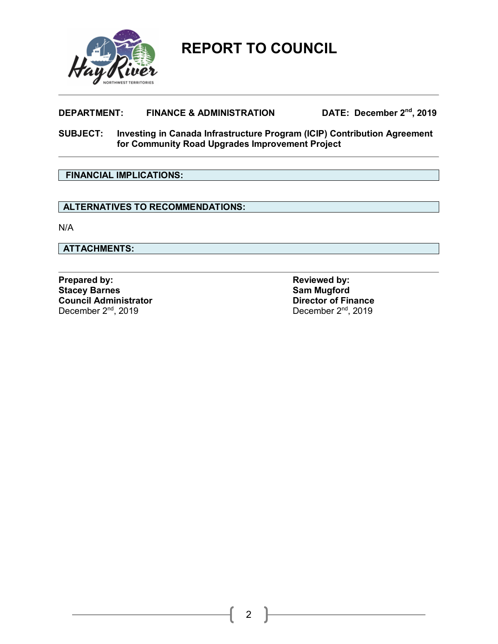

## **DEPARTMENT: FINANCE & ADMINISTRATION DATE: December 2nd, 2019**

**SUBJECT: Investing in Canada Infrastructure Program (ICIP) Contribution Agreement for Community Road Upgrades Improvement Project**

## **FINANCIAL IMPLICATIONS:**

## **ALTERNATIVES TO RECOMMENDATIONS:**

N/A

**ATTACHMENTS:**

**Prepared by: Prepared by: Reviewed by: Reviewed by: Stacey Barnes Stacey Barnes**<br> **Stacey Barnes**<br> **Sam Mugford**<br> **Council Administrator Council Administrator**<br>Director of Finance<br>December 2<sup>nd</sup>, 2019<br>December 2<sup>nd</sup>, 2019 December 2<sup>nd</sup>, 2019

2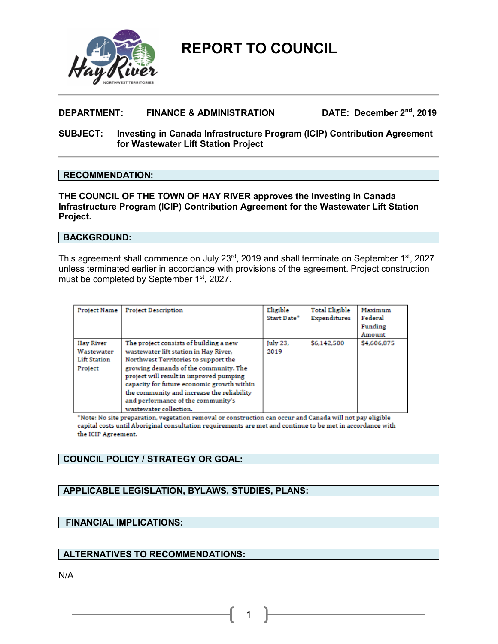

## **DEPARTMENT: FINANCE & ADMINISTRATION DATE: December 2nd, 2019**

#### **SUBJECT: Investing in Canada Infrastructure Program (ICIP) Contribution Agreement for Wastewater Lift Station Project**

#### **RECOMMENDATION:**

**THE COUNCIL OF THE TOWN OF HAY RIVER approves the Investing in Canada Infrastructure Program (ICIP) Contribution Agreement for the Wastewater Lift Station Project.** 

#### **BACKGROUND:**

This agreement shall commence on July 23<sup>rd</sup>, 2019 and shall terminate on September 1<sup>st</sup>, 2027 unless terminated earlier in accordance with provisions of the agreement. Project construction must be completed by September 1<sup>st</sup>, 2027.

| <b>Project Name</b>                                       | <b>Project Description</b>                                                                                                                                                                                                                                                                                                                                              | Eligible<br>Start Date* | <b>Total Eligible</b><br>Expenditures | Maximum<br>Federal<br>Funding<br>Amount |
|-----------------------------------------------------------|-------------------------------------------------------------------------------------------------------------------------------------------------------------------------------------------------------------------------------------------------------------------------------------------------------------------------------------------------------------------------|-------------------------|---------------------------------------|-----------------------------------------|
| Hay River<br>Wastewater<br><b>Lift Station</b><br>Project | The project consists of building a new<br>wastewater lift station in Hay River,<br>Northwest Territories to support the<br>growing demands of the community. The<br>project will result in improved pumping<br>capacity for future economic growth within<br>the community and increase the reliability<br>and performance of the community's<br>wastewater collection. | July 23,<br>2019        | \$6,142,500                           | \$4,606,875                             |

\*Note: No site preparation, vegetation removal or construction can occur and Canada will not pay eligible capital costs until Aboriginal consultation requirements are met and continue to be met in accordance with the ICIP Agreement.

1

#### **COUNCIL POLICY / STRATEGY OR GOAL:**

## **APPLICABLE LEGISLATION, BYLAWS, STUDIES, PLANS:**

#### **FINANCIAL IMPLICATIONS:**

## **ALTERNATIVES TO RECOMMENDATIONS:**

N/A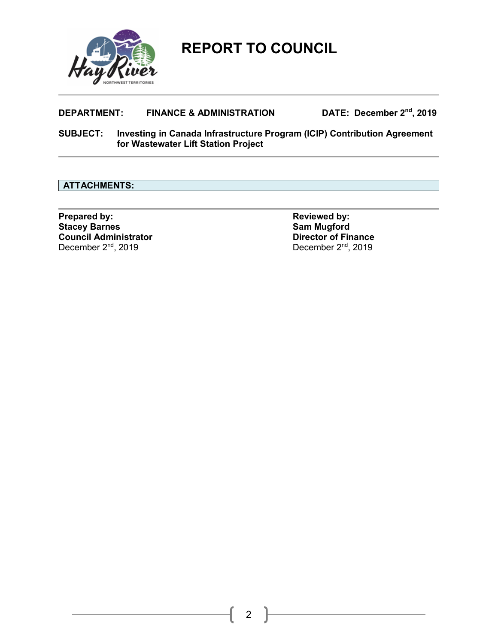

## **DEPARTMENT: FINANCE & ADMINISTRATION DATE: December 2nd, 2019**

**SUBJECT: Investing in Canada Infrastructure Program (ICIP) Contribution Agreement for Wastewater Lift Station Project**

## **ATTACHMENTS:**

**Prepared by: Prepared by: Reviewed by: Reviewed by: Stacey Barnes Stacey Barnes**<br> **Sam Mugford**<br> **Council Administrator Council Administrator**<br>Director of Finance<br>December 2<sup>nd</sup>, 2019<br>December 2<sup>nd</sup>, 2019 December 2<sup>nd</sup>, 2019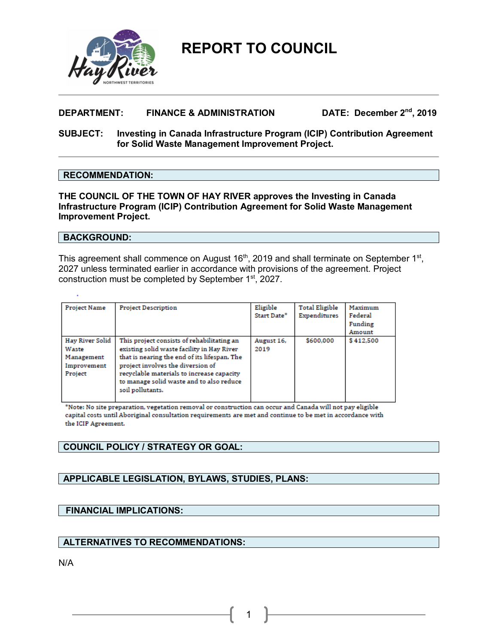

## **DEPARTMENT: FINANCE & ADMINISTRATION DATE: December 2nd, 2019**

#### **SUBJECT: Investing in Canada Infrastructure Program (ICIP) Contribution Agreement for Solid Waste Management Improvement Project.**

#### **RECOMMENDATION:**

**THE COUNCIL OF THE TOWN OF HAY RIVER approves the Investing in Canada Infrastructure Program (ICIP) Contribution Agreement for Solid Waste Management Improvement Project.** 

#### **BACKGROUND:**

This agreement shall commence on August  $16<sup>th</sup>$ , 2019 and shall terminate on September  $1<sup>st</sup>$ , 2027 unless terminated earlier in accordance with provisions of the agreement. Project construction must be completed by September 1st, 2027.

| <b>Project Name</b>                                              | <b>Project Description</b>                                                                                                                                                                                                                                                                 | Eligible<br>Start Date* | <b>Total Eligible</b><br>Expenditures | Maximum<br>Federal<br>Funding<br>Amount |
|------------------------------------------------------------------|--------------------------------------------------------------------------------------------------------------------------------------------------------------------------------------------------------------------------------------------------------------------------------------------|-------------------------|---------------------------------------|-----------------------------------------|
| Hay River Solid<br>Waste<br>Management<br>Improvement<br>Project | This project consists of rehabilitating an<br>existing solid waste facility in Hay River<br>that is nearing the end of its lifespan. The<br>project involves the diversion of<br>recyclable materials to increase capacity<br>to manage solid waste and to also reduce<br>soil pollutants. | August 16,<br>2019      | \$600,000                             | \$412.500                               |

\*Note: No site preparation, vegetation removal or construction can occur and Canada will not pay eligible capital costs until Aboriginal consultation requirements are met and continue to be met in accordance with the ICIP Agreement.

1

#### **COUNCIL POLICY / STRATEGY OR GOAL:**

#### **APPLICABLE LEGISLATION, BYLAWS, STUDIES, PLANS:**

#### **FINANCIAL IMPLICATIONS:**

#### **ALTERNATIVES TO RECOMMENDATIONS:**

N/A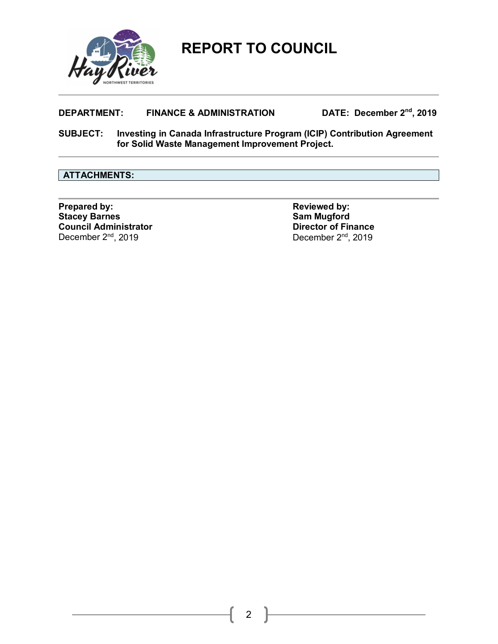

## **DEPARTMENT: FINANCE & ADMINISTRATION DATE: December 2nd, 2019**

**SUBJECT: Investing in Canada Infrastructure Program (ICIP) Contribution Agreement for Solid Waste Management Improvement Project.**

#### **ATTACHMENTS:**

**Prepared by: Prepared by: Reviewed by: Reviewed by: Reviewed by: Stacev Barnes Stacey Barnes**<br> **Sam Mugford**<br> **Council Administrator**<br> **Council Administrator Council Administrator**<br>December 2<sup>nd</sup>, 2019<br>December 2<sup>nd</sup>, 2019 December 2<sup>nd</sup>, 2019

2